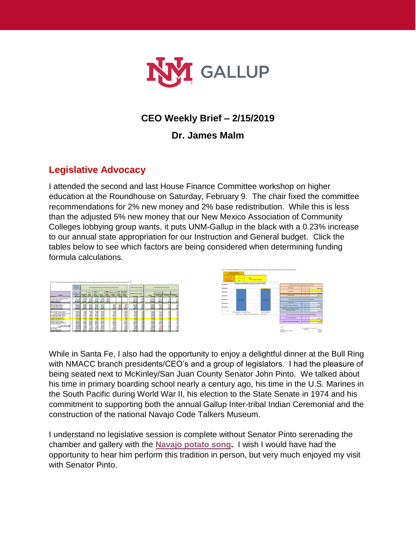

### **CEO Weekly Brief – 2/15/2019**

**Dr. James Malm**

# **Legislative Advocacy**

I attended the second and last House Finance Committee workshop on higher education at the Roundhouse on Saturday, February 9. The chair fixed the committee recommendations for 2% new money and 2% base redistribution. While this is less than the adjusted 5% new money that our New Mexico Association of Community Colleges lobbying group wants, it puts UNM-Gallup in the black with a 0.23% increase to our annual state appropriation for our Instruction and General budget. Click the tables below to see which factors are being considered when determining funding formula calculations.



While in Santa Fe, I also had the opportunity to enjoy a delightful dinner at the Bull Ring with NMACC branch presidents/CEO's and a group of legislators. I had the pleasure of being seated next to McKinley/San Juan County Senator John Pinto. We talked about his time in primary boarding school nearly a century ago, his time in the U.S. Marines in the South Pacific during World War II, his election to the State Senate in 1974 and his commitment to supporting both the annual Gallup Inter-tribal Indian Ceremonial and the construction of the national Navajo Code Talkers Museum.

I understand no legislative session is complete without Senator Pinto serenading the chamber and gallery with the **[Navajo potato song.](https://www.youtube.com/watch?v=DFLDozAmW8Q)** I wish I would have had the opportunity to hear him perform this tradition in person, but very much enjoyed my visit with Senator Pinto.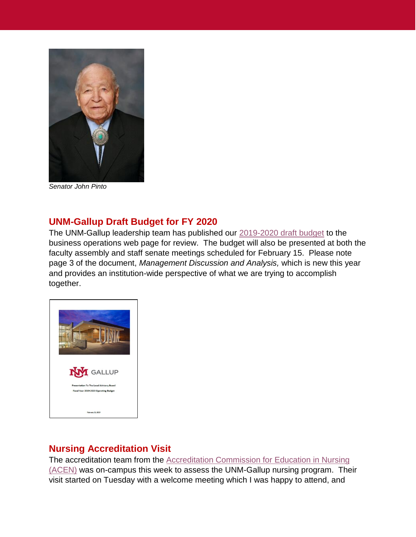

*Senator John Pinto*

### **UNM-Gallup Draft Budget for FY 2020**

The UNM-Gallup leadership team has published our [2019-2020 draft budget](https://gallup.unm.edu/pdfs/2019-2020ProposedBudgettoBoard021419.pdf) to the business operations web page for review. The budget will also be presented at both the faculty assembly and staff senate meetings scheduled for February 15. Please note page 3 of the document, *Management Discussion and Analysis,* which is new this year and provides an institution-wide perspective of what we are trying to accomplish together.



### **Nursing Accreditation Visit**

The accreditation team from the [Accreditation Commission for Education in Nursing](https://www.acenursing.org/)  [\(ACEN\)](https://www.acenursing.org/) was on-campus this week to assess the UNM-Gallup nursing program. Their visit started on Tuesday with a welcome meeting which I was happy to attend, and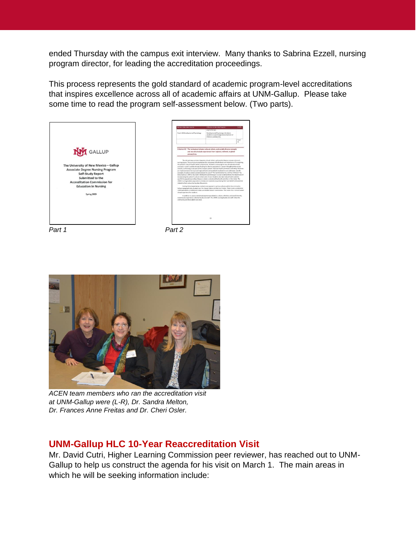ended Thursday with the campus exit interview. Many thanks to Sabrina Ezzell, nursing program director, for leading the accreditation proceedings.

This process represents the gold standard of academic program-level accreditations that inspires excellence across all of academic affairs at UNM-Gallup. Please take some time to read the program self-assessment below. (Two parts).





*ACEN team members who ran the accreditation visit at UNM-Gallup were (L-R), Dr. Sandra Melton, Dr. Frances Anne Freitas and Dr. Cheri Osler.*

# **UNM-Gallup HLC 10-Year Reaccreditation Visit**

Mr. David Cutri, Higher Learning Commission peer reviewer, has reached out to UNM-Gallup to help us construct the agenda for his visit on March 1. The main areas in which he will be seeking information include: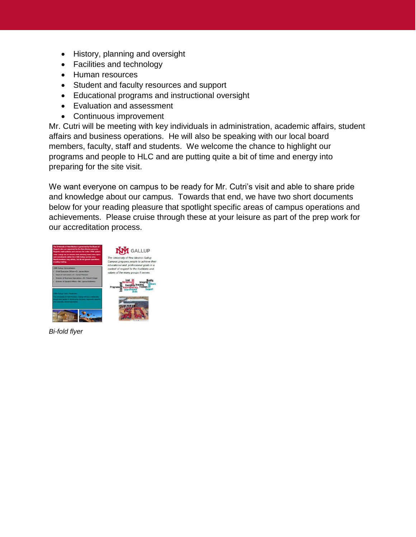- History, planning and oversight
- Facilities and technology
- Human resources
- Student and faculty resources and support
- Educational programs and instructional oversight
- Evaluation and assessment
- Continuous improvement

Mr. Cutri will be meeting with key individuals in administration, academic affairs, student affairs and business operations. He will also be speaking with our local board members, faculty, staff and students. We welcome the chance to highlight our programs and people to HLC and are putting quite a bit of time and energy into preparing for the site visit.

We want everyone on campus to be ready for Mr. Cutri's visit and able to share pride and knowledge about our campus. Towards that end, we have two short documents below for your reading pleasure that spotlight specific areas of campus operations and achievements. Please cruise through these at your leisure as part of the prep work for our accreditation process.



*Bi-fold flyer*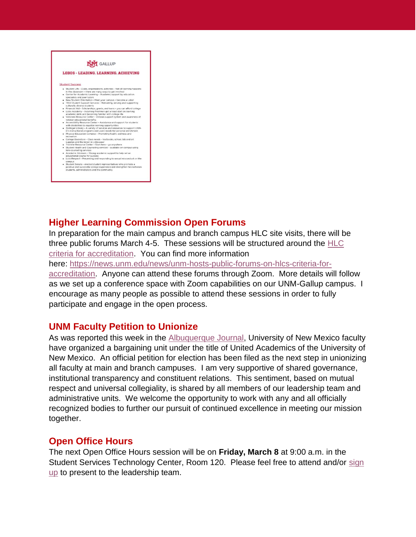

### **Higher Learning Commission Open Forums**

In preparation for the main campus and branch campus HLC site visits, there will be three public forums March 4-5. These sessions will be structured around the [HLC](https://www.hlcommission.org/Policies/criteria-and-core-components.html)  [criteria for accreditation.](https://www.hlcommission.org/Policies/criteria-and-core-components.html) You can find more information

here: [https://news.unm.edu/news/unm-hosts-public-forums-on-hlcs-criteria-for](https://news.unm.edu/news/unm-hosts-public-forums-on-hlcs-criteria-for-accreditation)[accreditation.](https://news.unm.edu/news/unm-hosts-public-forums-on-hlcs-criteria-for-accreditation) Anyone can attend these forums through Zoom. More details will follow as we set up a conference space with Zoom capabilities on our UNM-Gallup campus. I encourage as many people as possible to attend these sessions in order to fully participate and engage in the open process.

### **UNM Faculty Petition to Unionize**

As was reported this week in the [Albuquerque Journal,](http://ejournal.abqjournal.com/infinity/article_popover_share.aspx?guid=16ec531c-cfc2-459b-bede-7c422cc516a1) University of New Mexico faculty have organized a bargaining unit under the title of United Academics of the University of New Mexico. An official petition for election has been filed as the next step in unionizing all faculty at main and branch campuses. I am very supportive of shared governance, institutional transparency and constituent relations. This sentiment, based on mutual respect and universal collegiality, is shared by all members of our leadership team and administrative units. We welcome the opportunity to work with any and all officially recognized bodies to further our pursuit of continued excellence in meeting our mission together.

### **Open Office Hours**

The next Open Office Hours session will be on **Friday, March 8** at 9:00 a.m. in the Student Services Technology Center, Room 120. Please feel free to attend and/or [sign](https://gallup.unm.edu/ceo/openofficehours/registration.php?id=2&date=3/8/2019&time=9:00am&loc=SSTC-120)  [up](https://gallup.unm.edu/ceo/openofficehours/registration.php?id=2&date=3/8/2019&time=9:00am&loc=SSTC-120) to present to the leadership team.